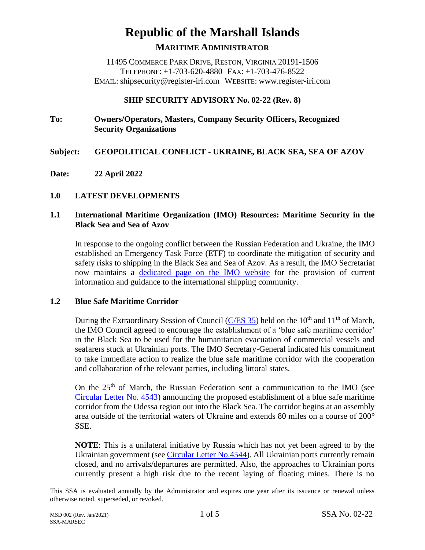# **Republic of the Marshall Islands MARITIME ADMINISTRATOR**

11495 COMMERCE PARK DRIVE, RESTON, VIRGINIA 20191-1506 TELEPHONE: +1-703-620-4880 FAX: +1-703-476-8522 EMAIL: shipsecurity@register-iri.com WEBSITE: www.register-iri.com

### **SHIP SECURITY ADVISORY No. 02-22 (Rev. 8)**

# **To: Owners/Operators, Masters, Company Security Officers, Recognized Security Organizations**

# **Subject: GEOPOLITICAL CONFLICT - UKRAINE, BLACK SEA, SEA OF AZOV**

**Date: 22 April 2022**

#### **1.0 LATEST DEVELOPMENTS**

### **1.1 International Maritime Organization (IMO) Resources: Maritime Security in the Black Sea and Sea of Azov**

In response to the ongoing conflict between the Russian Federation and Ukraine, the IMO established an Emergency Task Force (ETF) to coordinate the mitigation of security and safety risks to shipping in the Black Sea and Sea of Azov. As a result, the IMO Secretariat now maintains a [dedicated page](https://www.imo.org/en/MediaCentre/HotTopics/Pages/Black-Sea-and-Sea-of-Azov-Member-States-Communications.aspx) on the IMO website for the provision of current information and guidance to the international shipping community.

#### **1.2 Blue Safe Maritime Corridor**

During the Extraordinary Session of Council [\(C/ES 35\)](https://www.imo.org/en/MediaCentre/PressBriefings/pages/ECSStatement.aspx) held on the  $10<sup>th</sup>$  and  $11<sup>th</sup>$  of March, the IMO Council agreed to encourage the establishment of a 'blue safe maritime corridor' in the Black Sea to be used for the humanitarian evacuation of commercial vessels and seafarers stuck at Ukrainian ports. The IMO Secretary-General indicated his commitment to take immediate action to realize the blue safe maritime corridor with the cooperation and collaboration of the relevant parties, including littoral states.

On the  $25<sup>th</sup>$  of March, the Russian Federation sent a communication to the IMO (see [Circular Letter No.](https://wwwcdn.imo.org/localresources/en/MediaCentre/HotTopics/Documents/Black%20Sea%20and%20Sea%20of%20Azov%20-%20Member%20States%20and%20Associate%20Members%20Communications/Circular%20Letter%20No.4543%20-%20Communication%20From%20The%20Government%20Of%20The%20Russian%20Federation%20(Secretariat).pdf) 4543) announcing the proposed establishment of a blue safe maritime corridor from the Odessa region out into the Black Sea. The corridor begins at an assembly area outside of the territorial waters of Ukraine and extends 80 miles on a course of 200° SSE.

**NOTE**: This is a unilateral initiative by Russia which has not yet been agreed to by the Ukrainian government (see [Circular Letter No.4544\)](https://wwwcdn.imo.org/localresources/en/MediaCentre/HotTopics/Documents/Black%20Sea%20and%20Sea%20of%20Azov%20-%20Member%20States%20and%20Associate%20Members%20Communications/Circular%20Letter%20No.4544%20-%20Communication%20From%20The%20Government%20Of%20Ukraine%20(Secretariat).pdf). All Ukrainian ports currently remain closed, and no arrivals/departures are permitted. Also, the approaches to Ukrainian ports currently present a high risk due to the recent laying of floating mines. There is no

This SSA is evaluated annually by the Administrator and expires one year after its issuance or renewal unless otherwise noted, superseded, or revoked.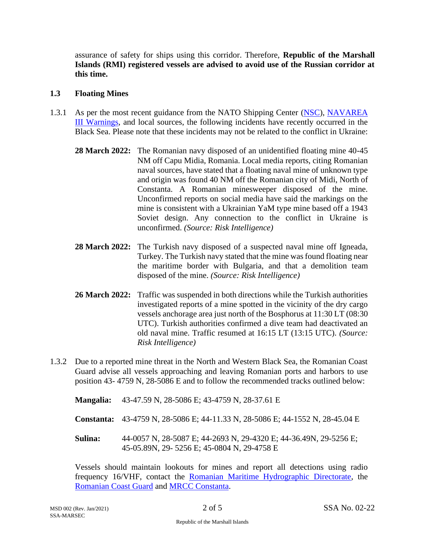assurance of safety for ships using this corridor. Therefore, **Republic of the Marshall Islands (RMI) registered vessels are advised to avoid use of the Russian corridor at this time.**

#### **1.3 Floating Mines**

- 1.3.1 As per the most recent guidance from the NATO Shipping Center [\(NSC\)](https://shipping.nato.int/nsc/operations/news/-2022/risk-of-collateral-damage-in-the-north-western-black-sea-2), [NAVAREA](https://armada.defensa.gob.es/ihm/Aplicaciones/Navareas/Index_Navareas_xml_en.html)  [III Warnings,](https://armada.defensa.gob.es/ihm/Aplicaciones/Navareas/Index_Navareas_xml_en.html) and local sources, the following incidents have recently occurred in the Black Sea. Please note that these incidents may not be related to the conflict in Ukraine:
	- **28 March 2022:** The Romanian navy disposed of an unidentified floating mine 40-45 NM off Capu Midia, Romania. Local media reports, citing Romanian naval sources, have stated that a floating naval mine of unknown type and origin was found 40 NM off the Romanian city of Midi, North of Constanta. A Romanian minesweeper disposed of the mine. Unconfirmed reports on social media have said the markings on the mine is consistent with a Ukrainian YaM type mine based off a 1943 Soviet design. Any connection to the conflict in Ukraine is unconfirmed. *(Source: Risk Intelligence)*
	- **28 March 2022:** The Turkish navy disposed of a suspected naval mine off Igneada, Turkey. The Turkish navy stated that the mine was found floating near the maritime border with Bulgaria, and that a demolition team disposed of the mine. *(Source: Risk Intelligence)*
	- **26 March 2022:** Traffic was suspended in both directions while the Turkish authorities investigated reports of a mine spotted in the vicinity of the dry cargo vessels anchorage area just north of the Bosphorus at 11:30 LT (08:30 UTC). Turkish authorities confirmed a dive team had deactivated an old naval mine. Traffic resumed at 16:15 LT (13:15 UTC). *(Source: Risk Intelligence)*
- 1.3.2 Due to a reported mine threat in the North and Western Black Sea, the Romanian Coast Guard advise all vessels approaching and leaving Romanian ports and harbors to use position 43- 4759 N, 28-5086 E and to follow the recommended tracks outlined below:
	- **Mangalia:** 43-47.59 N, 28-5086 E; 43-4759 N, 28-37.61 E
	- **Constanta:** 43-4759 N, 28-5086 E; 44-11.33 N, 28-5086 E; 44-1552 N, 28-45.04 E
	- **Sulina:** 44-0057 N, 28-5087 E; 44-2693 N, 29-4320 E; 44-36.49N, 29-5256 E; 45-05.89N, 29- 5256 E; 45-0804 N, 29-4758 E

Vessels should maintain lookouts for mines and report all detections using radio frequency 16/VHF, contact the [Romanian Maritime Hydrographic Directorate,](mailto:NtM@dhmfn.ro?subject=Suspected%20Mine%20Sighting%20) the [Romanian Coast Guard](mailto:scomar@mai.gov.ro?subject=Suspected%20Mine%20Detected) and [MRCC Constanta.](mailto:mrcc@rna.ro?subject=Suspected%20Mine%20Detection)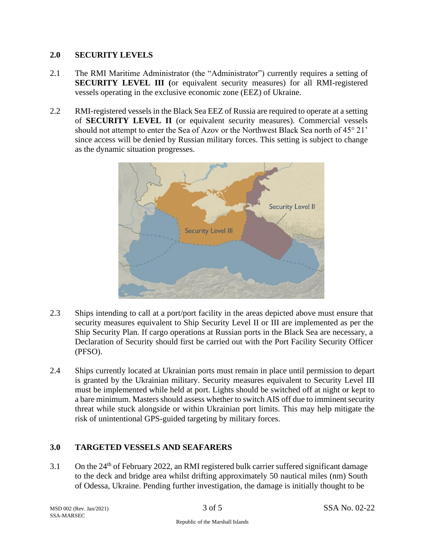#### **2.0 SECURITY LEVELS**

- 2.1 The RMI Maritime Administrator (the "Administrator") currently requires a setting of **SECURITY LEVEL III (**or equivalent security measures) for all RMI-registered vessels operating in the exclusive economic zone (EEZ) of Ukraine.
- 2.2 RMI-registered vessels in the Black Sea EEZ of Russia are required to operate at a setting of **SECURITY LEVEL II** (or equivalent security measures). Commercial vessels should not attempt to enter the Sea of Azov or the Northwest Black Sea north of 45° 21' since access will be denied by Russian military forces. This setting is subject to change as the dynamic situation progresses.



- 2.3 Ships intending to call at a port/port facility in the areas depicted above must ensure that security measures equivalent to Ship Security Level II or III are implemented as per the Ship Security Plan. If cargo operations at Russian ports in the Black Sea are necessary, a Declaration of Security should first be carried out with the Port Facility Security Officer (PFSO).
- 2.4 Ships currently located at Ukrainian ports must remain in place until permission to depart is granted by the Ukrainian military. Security measures equivalent to Security Level III must be implemented while held at port. Lights should be switched off at night or kept to a bare minimum. Masters should assess whether to switch AIS off due to imminent security threat while stuck alongside or within Ukrainian port limits. This may help mitigate the risk of unintentional GPS-guided targeting by military forces.

# **3.0 TARGETED VESSELS AND SEAFARERS**

3.1 On the  $24<sup>th</sup>$  of February 2022, an RMI registered bulk carrier suffered significant damage to the deck and bridge area whilst drifting approximately 50 nautical miles (nm) South of Odessa, Ukraine. Pending further investigation, the damage is initially thought to be

SSA-MARSEC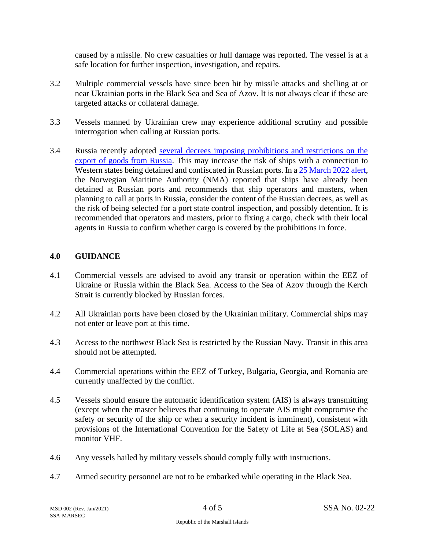caused by a missile. No crew casualties or hull damage was reported. The vessel is at a safe location for further inspection, investigation, and repairs.

- 3.2 Multiple commercial vessels have since been hit by missile attacks and shelling at or near Ukrainian ports in the Black Sea and Sea of Azov. It is not always clear if these are targeted attacks or collateral damage.
- 3.3 Vessels manned by Ukrainian crew may experience additional scrutiny and possible interrogation when calling at Russian ports.
- 3.4 Russia recently adopted [several decrees imposing prohibitions and restrictions on the](https://www.ey.com/en_ru/tax/tax-alert/2022/03/ey-russia-introduces-export-bans-and-permit-procedures-14-march-2022-tax-eng)  [export of goods from Russia.](https://www.ey.com/en_ru/tax/tax-alert/2022/03/ey-russia-introduces-export-bans-and-permit-procedures-14-march-2022-tax-eng) This may increase the risk of ships with a connection to Western states being detained and confiscated in Russian ports. In a [25 March 2022](https://www.sdir.no/en/news/news-from-the-nma/increased-risk-when-calling-at-russian-ports/) alert, the Norwegian Maritime Authority (NMA) reported that ships have already been detained at Russian ports and recommends that ship operators and masters, when planning to call at ports in Russia, consider the content of the Russian decrees, as well as the risk of being selected for a port state control inspection, and possibly detention. It is recommended that operators and masters, prior to fixing a cargo, check with their local agents in Russia to confirm whether cargo is covered by the prohibitions in force.

#### **4.0 GUIDANCE**

- 4.1 Commercial vessels are advised to avoid any transit or operation within the EEZ of Ukraine or Russia within the Black Sea. Access to the Sea of Azov through the Kerch Strait is currently blocked by Russian forces.
- 4.2 All Ukrainian ports have been closed by the Ukrainian military. Commercial ships may not enter or leave port at this time.
- 4.3 Access to the northwest Black Sea is restricted by the Russian Navy. Transit in this area should not be attempted.
- 4.4 Commercial operations within the EEZ of Turkey, Bulgaria, Georgia, and Romania are currently unaffected by the conflict.
- 4.5 Vessels should ensure the automatic identification system (AIS) is always transmitting (except when the master believes that continuing to operate AIS might compromise the safety or security of the ship or when a security incident is imminent), consistent with provisions of the International Convention for the Safety of Life at Sea (SOLAS) and monitor VHF.
- 4.6 Any vessels hailed by military vessels should comply fully with instructions.
- 4.7 Armed security personnel are not to be embarked while operating in the Black Sea.